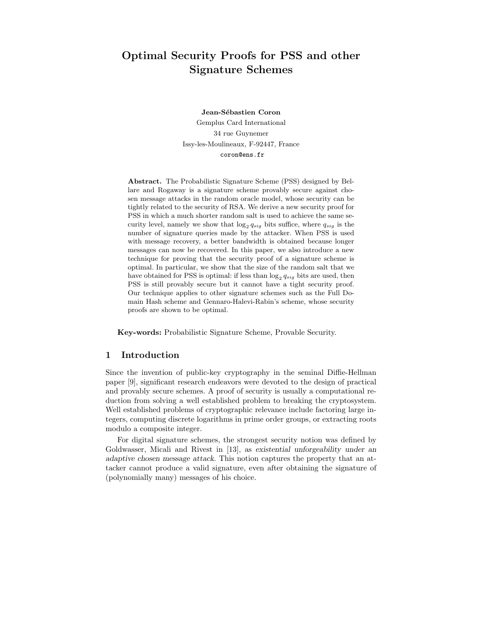# Optimal Security Proofs for PSS and other Signature Schemes

Jean-Sébastien Coron Gemplus Card International 34 rue Guynemer Issy-les-Moulineaux, F-92447, France coron@ens.fr

Abstract. The Probabilistic Signature Scheme (PSS) designed by Bellare and Rogaway is a signature scheme provably secure against chosen message attacks in the random oracle model, whose security can be tightly related to the security of RSA. We derive a new security proof for PSS in which a much shorter random salt is used to achieve the same security level, namely we show that  $\log_2 q_{sig}$  bits suffice, where  $q_{sig}$  is the number of signature queries made by the attacker. When PSS is used with message recovery, a better bandwidth is obtained because longer messages can now be recovered. In this paper, we also introduce a new technique for proving that the security proof of a signature scheme is optimal. In particular, we show that the size of the random salt that we have obtained for PSS is optimal: if less than  $\log_2 q_{sig}$  bits are used, then PSS is still provably secure but it cannot have a tight security proof. Our technique applies to other signature schemes such as the Full Domain Hash scheme and Gennaro-Halevi-Rabin's scheme, whose security proofs are shown to be optimal.

Key-words: Probabilistic Signature Scheme, Provable Security.

### 1 Introduction

Since the invention of public-key cryptography in the seminal Diffie-Hellman paper [9], significant research endeavors were devoted to the design of practical and provably secure schemes. A proof of security is usually a computational reduction from solving a well established problem to breaking the cryptosystem. Well established problems of cryptographic relevance include factoring large integers, computing discrete logarithms in prime order groups, or extracting roots modulo a composite integer.

For digital signature schemes, the strongest security notion was defined by Goldwasser, Micali and Rivest in [13], as existential unforgeability under an adaptive chosen message attack. This notion captures the property that an attacker cannot produce a valid signature, even after obtaining the signature of (polynomially many) messages of his choice.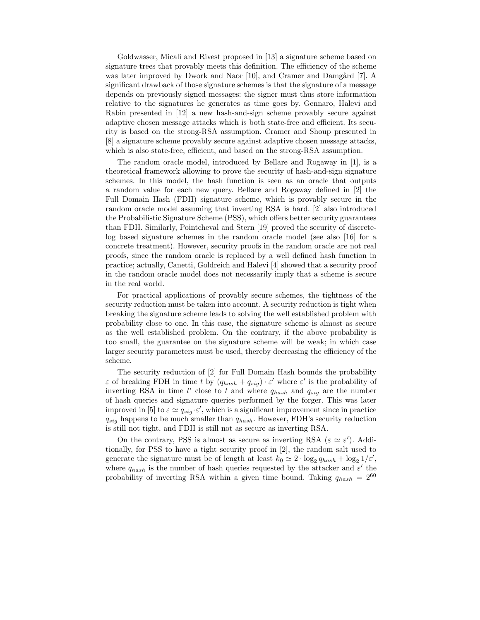Goldwasser, Micali and Rivest proposed in [13] a signature scheme based on signature trees that provably meets this definition. The efficiency of the scheme was later improved by Dwork and Naor  $[10]$ , and Cramer and Damgård  $[7]$ . A significant drawback of those signature schemes is that the signature of a message depends on previously signed messages: the signer must thus store information relative to the signatures he generates as time goes by. Gennaro, Halevi and Rabin presented in [12] a new hash-and-sign scheme provably secure against adaptive chosen message attacks which is both state-free and efficient. Its security is based on the strong-RSA assumption. Cramer and Shoup presented in [8] a signature scheme provably secure against adaptive chosen message attacks, which is also state-free, efficient, and based on the strong-RSA assumption.

The random oracle model, introduced by Bellare and Rogaway in [1], is a theoretical framework allowing to prove the security of hash-and-sign signature schemes. In this model, the hash function is seen as an oracle that outputs a random value for each new query. Bellare and Rogaway defined in [2] the Full Domain Hash (FDH) signature scheme, which is provably secure in the random oracle model assuming that inverting RSA is hard. [2] also introduced the Probabilistic Signature Scheme (PSS), which offers better security guarantees than FDH. Similarly, Pointcheval and Stern [19] proved the security of discretelog based signature schemes in the random oracle model (see also [16] for a concrete treatment). However, security proofs in the random oracle are not real proofs, since the random oracle is replaced by a well defined hash function in practice; actually, Canetti, Goldreich and Halevi [4] showed that a security proof in the random oracle model does not necessarily imply that a scheme is secure in the real world.

For practical applications of provably secure schemes, the tightness of the security reduction must be taken into account. A security reduction is tight when breaking the signature scheme leads to solving the well established problem with probability close to one. In this case, the signature scheme is almost as secure as the well established problem. On the contrary, if the above probability is too small, the guarantee on the signature scheme will be weak; in which case larger security parameters must be used, thereby decreasing the efficiency of the scheme.

The security reduction of [2] for Full Domain Hash bounds the probability  $\varepsilon$  of breaking FDH in time t by  $(q_{hash} + q_{sig}) \cdot \varepsilon'$  where  $\varepsilon'$  is the probability of inverting RSA in time  $t'$  close to t and where  $q_{hash}$  and  $q_{sig}$  are the number of hash queries and signature queries performed by the forger. This was later improved in [5] to  $\varepsilon \simeq q_{sig} \cdot \varepsilon'$ , which is a significant improvement since in practice  $q_{sig}$  happens to be much smaller than  $q_{hash}$ . However, FDH's security reduction is still not tight, and FDH is still not as secure as inverting RSA.

On the contrary, PSS is almost as secure as inverting RSA ( $\varepsilon \simeq \varepsilon'$ ). Additionally, for PSS to have a tight security proof in [2], the random salt used to generate the signature must be of length at least  $k_0 \simeq 2 \cdot \log_2 q_{hash} + \log_2 1/\varepsilon'$ , where  $q_{hash}$  is the number of hash queries requested by the attacker and  $\varepsilon'$  the probability of inverting RSA within a given time bound. Taking  $q_{hash} = 2^{60}$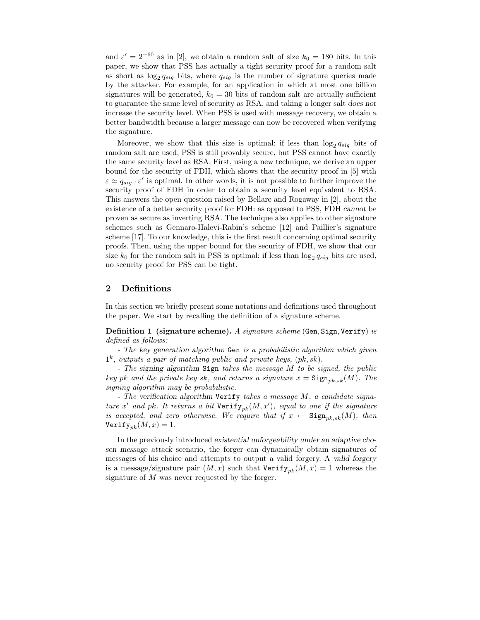and  $\varepsilon' = 2^{-60}$  as in [2], we obtain a random salt of size  $k_0 = 180$  bits. In this paper, we show that PSS has actually a tight security proof for a random salt as short as  $\log_2 q_{sig}$  bits, where  $q_{sig}$  is the number of signature queries made by the attacker. For example, for an application in which at most one billion signatures will be generated,  $k_0 = 30$  bits of random salt are actually sufficient to guarantee the same level of security as RSA, and taking a longer salt does not increase the security level. When PSS is used with message recovery, we obtain a better bandwidth because a larger message can now be recovered when verifying the signature.

Moreover, we show that this size is optimal: if less than  $\log_2 q_{sig}$  bits of random salt are used, PSS is still provably secure, but PSS cannot have exactly the same security level as RSA. First, using a new technique, we derive an upper bound for the security of FDH, which shows that the security proof in [5] with  $\varepsilon \simeq q_{sig} \cdot \varepsilon'$  is optimal. In other words, it is not possible to further improve the security proof of FDH in order to obtain a security level equivalent to RSA. This answers the open question raised by Bellare and Rogaway in [2], about the existence of a better security proof for FDH: as opposed to PSS, FDH cannot be proven as secure as inverting RSA. The technique also applies to other signature schemes such as Gennaro-Halevi-Rabin's scheme [12] and Paillier's signature scheme [17]. To our knowledge, this is the first result concerning optimal security proofs. Then, using the upper bound for the security of FDH, we show that our size  $k_0$  for the random salt in PSS is optimal: if less than  $\log_2 q_{sig}$  bits are used, no security proof for PSS can be tight.

## 2 Definitions

In this section we briefly present some notations and definitions used throughout the paper. We start by recalling the definition of a signature scheme.

Definition 1 (signature scheme). A signature scheme (Gen, Sign, Verify) is defined as follows:

- The key generation algorithm Gen is a probabilistic algorithm which given  $1^k$ , outputs a pair of matching public and private keys,  $(pk, sk)$ .

- The signing algorithm Sign takes the message M to be signed, the public key pk and the private key sk, and returns a signature  $x = \text{Sign}_{pk,sk}(M)$ . The signing algorithm may be probabilistic.

- The verification algorithm Verify takes a message M, a candidate signature x' and pk. It returns a bit  $Verify_{pk}(M, x')$ , equal to one if the signature is accepted, and zero otherwise. We require that if  $x \leftarrow$  Sign<sub>pk,sk</sub>(M), then Verify<sub>nk</sub> $(M, x) = 1$ .

In the previously introduced existential unforgeability under an adaptive chosen message attack scenario, the forger can dynamically obtain signatures of messages of his choice and attempts to output a valid forgery. A valid forgery is a message/signature pair  $(M, x)$  such that  $Verify_{pk}(M, x) = 1$  whereas the signature of M was never requested by the forger.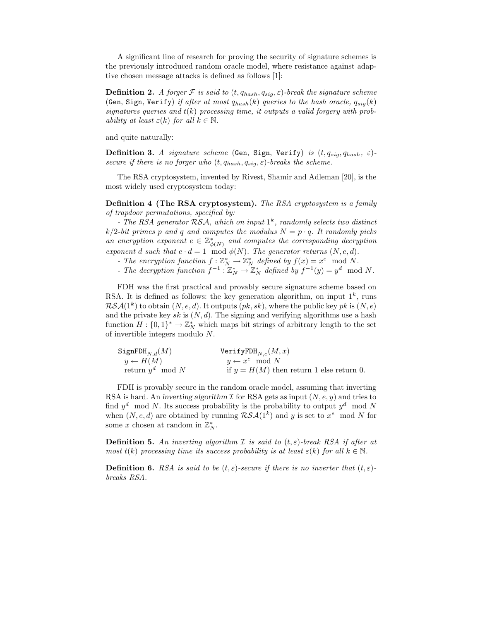A significant line of research for proving the security of signature schemes is the previously introduced random oracle model, where resistance against adaptive chosen message attacks is defined as follows [1]:

**Definition 2.** A forger F is said to  $(t, q_{hash}, q_{sig}, \varepsilon)$ -break the signature scheme (Gen, Sign, Verify) if after at most  $q_{hash}(k)$  queries to the hash oracle,  $q_{sig}(k)$ signatures queries and  $t(k)$  processing time, it outputs a valid forgery with probability at least  $\varepsilon(k)$  for all  $k \in \mathbb{N}$ .

and quite naturally:

Definition 3. A signature scheme (Gen, Sign, Verify) is  $(t, q_{sig}, q_{hash}, \varepsilon)$ secure if there is no forger who  $(t, q_{hash}, q_{sig}, \varepsilon)$ -breaks the scheme.

The RSA cryptosystem, invented by Rivest, Shamir and Adleman [20], is the most widely used cryptosystem today:

Definition 4 (The RSA cryptosystem). The RSA cryptosystem is a family of trapdoor permutations, specified by:

- The RSA generator  $RSA$ , which on input  $1<sup>k</sup>$ , randomly selects two distinct  $k/2$ -bit primes p and q and computes the modulus  $N = p \cdot q$ . It randomly picks an encryption exponent  $e \in \mathbb{Z}_{\phi(N)}^*$  and computes the corresponding decryption exponent d such that  $e \cdot d = 1 \mod \phi(N)$ . The generator returns  $(N, e, d)$ .

- The encryption function  $f: \mathbb{Z}_N^* \to \mathbb{Z}_N^*$  defined by  $f(x) = x^e \mod N$ .
- The decryption function  $f^{-1}: \mathbb{Z}_N^* \to \mathbb{Z}_N^*$  defined by  $f^{-1}(y) = y^d \mod N$ .

FDH was the first practical and provably secure signature scheme based on RSA. It is defined as follows: the key generation algorithm, on input  $1^k$ , runs  $\mathcal{RSA}(1^k)$  to obtain  $(N, e, d)$ . It outputs  $(pk, sk)$ , where the public key pk is  $(N, e)$ and the private key sk is  $(N, d)$ . The signing and verifying algorithms use a hash function  $H: \{0,1\}^* \to \mathbb{Z}_N^*$  which maps bit strings of arbitrary length to the set of invertible integers modulo N.

| $\texttt{SignFDH}_{N,d}(M)$ | $\texttt{VerifyFDH}_{N,e}(M,x)$            |
|-----------------------------|--------------------------------------------|
| $y \leftarrow H(M)$         | $y \leftarrow x^e \mod N$                  |
| return $y^d \mod N$         | if $y = H(M)$ then return 1 else return 0. |

FDH is provably secure in the random oracle model, assuming that inverting RSA is hard. An inverting algorithm  $\mathcal I$  for RSA gets as input  $(N, e, y)$  and tries to find  $y^d \mod N$ . Its success probability is the probability to output  $y^d \mod N$ when  $(N, e, d)$  are obtained by running  $\mathcal{RSA}(1^k)$  and y is set to  $x^e \mod N$  for some x chosen at random in  $\mathbb{Z}_N^*$ .

**Definition 5.** An inverting algorithm I is said to  $(t, \varepsilon)$ -break RSA if after at most  $t(k)$  processing time its success probability is at least  $\varepsilon(k)$  for all  $k \in \mathbb{N}$ .

**Definition 6.** RSA is said to be  $(t, \varepsilon)$ -secure if there is no inverter that  $(t, \varepsilon)$ breaks RSA.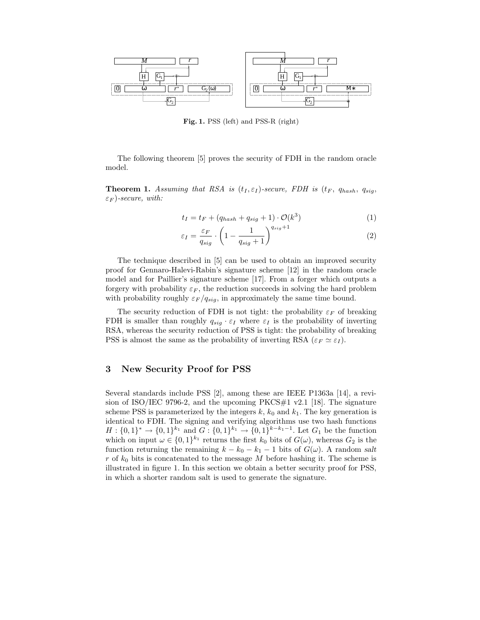

Fig. 1. PSS (left) and PSS-R (right)

The following theorem [5] proves the security of FDH in the random oracle model.

**Theorem 1.** Assuming that RSA is  $(t_I, \varepsilon_I)$ -secure, FDH is  $(t_F, q_{hash}, q_{sig},$  $\varepsilon_F$ )-secure, with:

$$
t_I = t_F + (q_{hash} + q_{sig} + 1) \cdot \mathcal{O}(k^3)
$$
 (1)

$$
\varepsilon_I = \frac{\varepsilon_F}{q_{sig}} \cdot \left(1 - \frac{1}{q_{sig} + 1}\right)^{q_{sig} + 1} \tag{2}
$$

The technique described in [5] can be used to obtain an improved security proof for Gennaro-Halevi-Rabin's signature scheme [12] in the random oracle model and for Paillier's signature scheme [17]. From a forger which outputs a forgery with probability  $\varepsilon_F$ , the reduction succeeds in solving the hard problem with probability roughly  $\varepsilon_F / q_{sig}$ , in approximately the same time bound.

The security reduction of FDH is not tight: the probability  $\varepsilon_F$  of breaking FDH is smaller than roughly  $q_{sig} \cdot \varepsilon_I$  where  $\varepsilon_I$  is the probability of inverting RSA, whereas the security reduction of PSS is tight: the probability of breaking PSS is almost the same as the probability of inverting RSA ( $\varepsilon_F \simeq \varepsilon_I$ ).

# 3 New Security Proof for PSS

Several standards include PSS [2], among these are IEEE P1363a [14], a revision of ISO/IEC 9796-2, and the upcoming  $PKCS#1$  v2.1 [18]. The signature scheme PSS is parameterized by the integers  $k, k_0$  and  $k_1$ . The key generation is identical to FDH. The signing and verifying algorithms use two hash functions  $H: \{0,1\}^* \to \{0,1\}^{k_1}$  and  $G: \{0,1\}^{k_1} \to \{0,1\}^{k-k_1-1}$ . Let  $G_1$  be the function which on input  $\omega \in \{0,1\}^{k_1}$  returns the first  $k_0$  bits of  $G(\omega)$ , whereas  $G_2$  is the function returning the remaining  $k - k_0 - k_1 - 1$  bits of  $G(\omega)$ . A random salt r of  $k_0$  bits is concatenated to the message M before hashing it. The scheme is illustrated in figure 1. In this section we obtain a better security proof for PSS, in which a shorter random salt is used to generate the signature.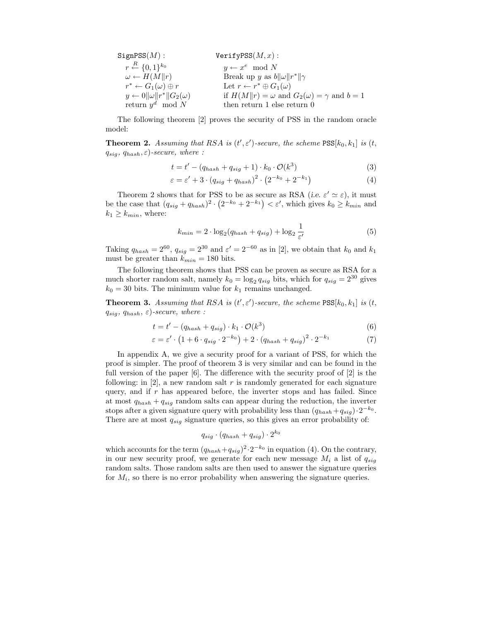| SignPSS(M):                                   | VerifyPSS(M, x):                                             |
|-----------------------------------------------|--------------------------------------------------------------|
| $r \stackrel{R}{\leftarrow} \{0,1\}^{k_0}$    | $y \leftarrow x^e \mod N$                                    |
| $\omega \leftarrow H(M  r)$                   | Break up y as $b  \omega  r^*  \gamma$                       |
| $r^* \leftarrow G_1(\omega) \oplus r$         | Let $r \leftarrow r^* \oplus G_1(\omega)$                    |
| $y \leftarrow 0 \ \omega\  r^*\  G_2(\omega)$ | if $H(M  r) = \omega$ and $G_2(\omega) = \gamma$ and $b = 1$ |
| return $y^d \mod N$                           | then return 1 else return 0                                  |

The following theorem [2] proves the security of PSS in the random oracle model:

**Theorem 2.** Assuming that RSA is  $(t', \varepsilon')$ -secure, the scheme  $\text{PSS}[k_0, k_1]$  is  $(t, \varepsilon')$  $q_{sia}, q_{hash}, \varepsilon$ )-secure, where :

$$
t = t' - (q_{hash} + q_{sig} + 1) \cdot k_0 \cdot \mathcal{O}(k^3)
$$
\n
$$
(3)
$$

$$
\varepsilon = \varepsilon' + 3 \cdot \left( q_{sig} + q_{hash} \right)^2 \cdot \left( 2^{-k_0} + 2^{-k_1} \right) \tag{4}
$$

Theorem 2 shows that for PSS to be as secure as RSA (*i.e.*  $\varepsilon' \simeq \varepsilon$ ), it must be the case that  $(q_{sig} + q_{hash})^2 \cdot (2^{-k_0} + 2^{-k_1}) < \varepsilon'$ , which gives  $k_0 \geq k_{min}$  and  $k_1 \geq k_{min}$ , where:

$$
k_{min} = 2 \cdot \log_2(q_{hash} + q_{sig}) + \log_2 \frac{1}{\varepsilon'} \tag{5}
$$

Taking  $q_{hash} = 2^{60}$ ,  $q_{sig} = 2^{30}$  and  $\varepsilon' = 2^{-60}$  as in [2], we obtain that  $k_0$  and  $k_1$ must be greater than  $k_{min} = 180$  bits.

The following theorem shows that PSS can be proven as secure as RSA for a much shorter random salt, namely  $k_0 = \log_2 q_{sig}$  bits, which for  $q_{sig} = 2^{30}$  gives  $k_0 = 30$  bits. The minimum value for  $k_1$  remains unchanged.

**Theorem 3.** Assuming that RSA is  $(t', \varepsilon')$ -secure, the scheme  $\text{PSS}[k_0, k_1]$  is  $(t, \varepsilon')$  $q_{sig}, q_{hash}, \varepsilon$ )-secure, where :

$$
t = t' - (q_{hash} + q_{sig}) \cdot k_1 \cdot \mathcal{O}(k^3)
$$
\n
$$
(6)
$$

$$
\varepsilon = \varepsilon' \cdot \left(1 + 6 \cdot q_{sig} \cdot 2^{-k_0}\right) + 2 \cdot \left(q_{hash} + q_{sig}\right)^2 \cdot 2^{-k_1} \tag{7}
$$

In appendix A, we give a security proof for a variant of PSS, for which the proof is simpler. The proof of theorem 3 is very similar and can be found in the full version of the paper [6]. The difference with the security proof of [2] is the following: in  $[2]$ , a new random salt r is randomly generated for each signature query, and if  $r$  has appeared before, the inverter stops and has failed. Since at most  $q_{hash} + q_{sig}$  random salts can appear during the reduction, the inverter stops after a given signature query with probability less than  $(q_{hash} + q_{sig}) \cdot 2^{-k_0}$ . There are at most  $q_{siq}$  signature queries, so this gives an error probability of:

$$
q_{sig} \cdot (q_{hash} + q_{sig}) \cdot 2^{k_0}
$$

which accounts for the term  $(q_{hash} + q_{sig})^2 \cdot 2^{-k_0}$  in equation (4). On the contrary, in our new security proof, we generate for each new message  $M_i$  a list of  $q_{siq}$ random salts. Those random salts are then used to answer the signature queries for  $M_i$ , so there is no error probability when answering the signature queries.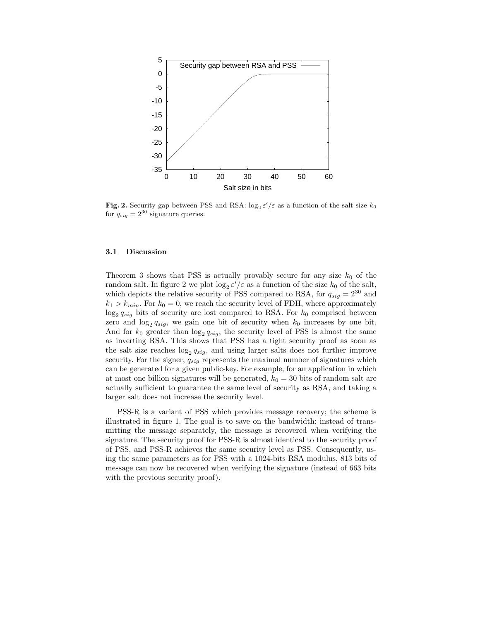

Fig. 2. Security gap between PSS and RSA:  $\log_2 \varepsilon'/\varepsilon$  as a function of the salt size  $k_0$ for  $q_{sig} = 2^{30}$  signature queries.

#### 3.1 Discussion

Theorem 3 shows that PSS is actually provably secure for any size  $k_0$  of the random salt. In figure 2 we plot  $\log_2 \varepsilon'/\varepsilon$  as a function of the size  $k_0$  of the salt, which depicts the relative security of PSS compared to RSA, for  $q_{sig} = 2^{30}$  and  $k_1 > k_{min}$ . For  $k_0 = 0$ , we reach the security level of FDH, where approximately  $\log_2 q_{sig}$  bits of security are lost compared to RSA. For  $k_0$  comprised between zero and  $\log_2 q_{sig}$ , we gain one bit of security when  $k_0$  increases by one bit. And for  $k_0$  greater than  $\log_2 q_{sig}$ , the security level of PSS is almost the same as inverting RSA. This shows that PSS has a tight security proof as soon as the salt size reaches  $\log_2 q_{sig}$ , and using larger salts does not further improve security. For the signer,  $q_{sig}$  represents the maximal number of signatures which can be generated for a given public-key. For example, for an application in which at most one billion signatures will be generated,  $k_0 = 30$  bits of random salt are actually sufficient to guarantee the same level of security as RSA, and taking a larger salt does not increase the security level.

PSS-R is a variant of PSS which provides message recovery; the scheme is illustrated in figure 1. The goal is to save on the bandwidth: instead of transmitting the message separately, the message is recovered when verifying the signature. The security proof for PSS-R is almost identical to the security proof of PSS, and PSS-R achieves the same security level as PSS. Consequently, using the same parameters as for PSS with a 1024-bits RSA modulus, 813 bits of message can now be recovered when verifying the signature (instead of 663 bits with the previous security proof).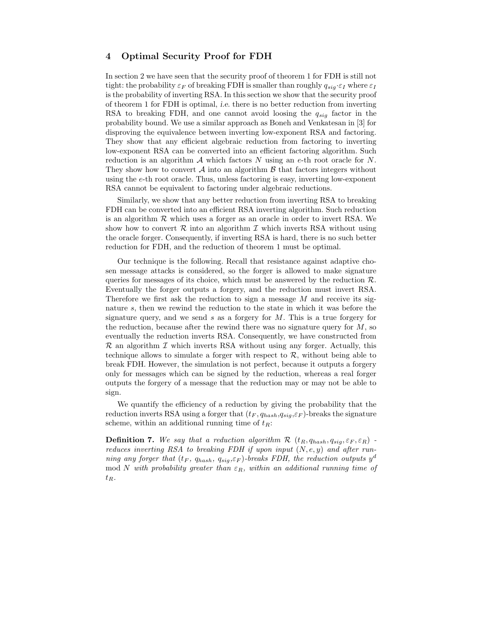### 4 Optimal Security Proof for FDH

In section 2 we have seen that the security proof of theorem 1 for FDH is still not tight: the probability  $\varepsilon_F$  of breaking FDH is smaller than roughly  $q_{sig} \cdot \varepsilon_I$  where  $\varepsilon_I$ is the probability of inverting RSA. In this section we show that the security proof of theorem 1 for FDH is optimal, i.e. there is no better reduction from inverting RSA to breaking FDH, and one cannot avoid loosing the  $q_{sig}$  factor in the probability bound. We use a similar approach as Boneh and Venkatesan in [3] for disproving the equivalence between inverting low-exponent RSA and factoring. They show that any efficient algebraic reduction from factoring to inverting low-exponent RSA can be converted into an efficient factoring algorithm. Such reduction is an algorithm  $\mathcal A$  which factors N using an e-th root oracle for N. They show how to convert  $\mathcal A$  into an algorithm  $\mathcal B$  that factors integers without using the e-th root oracle. Thus, unless factoring is easy, inverting low-exponent RSA cannot be equivalent to factoring under algebraic reductions.

Similarly, we show that any better reduction from inverting RSA to breaking FDH can be converted into an efficient RSA inverting algorithm. Such reduction is an algorithm  $R$  which uses a forger as an oracle in order to invert RSA. We show how to convert  $R$  into an algorithm  $I$  which inverts RSA without using the oracle forger. Consequently, if inverting RSA is hard, there is no such better reduction for FDH, and the reduction of theorem 1 must be optimal.

Our technique is the following. Recall that resistance against adaptive chosen message attacks is considered, so the forger is allowed to make signature queries for messages of its choice, which must be answered by the reduction  $\mathcal{R}$ . Eventually the forger outputs a forgery, and the reduction must invert RSA. Therefore we first ask the reduction to sign a message  $M$  and receive its signature s, then we rewind the reduction to the state in which it was before the signature query, and we send  $s$  as a forgery for  $M$ . This is a true forgery for the reduction, because after the rewind there was no signature query for  $M$ , so eventually the reduction inverts RSA. Consequently, we have constructed from  $\mathcal R$  an algorithm  $\mathcal I$  which inverts RSA without using any forger. Actually, this technique allows to simulate a forger with respect to  $\mathcal{R}$ , without being able to break FDH. However, the simulation is not perfect, because it outputs a forgery only for messages which can be signed by the reduction, whereas a real forger outputs the forgery of a message that the reduction may or may not be able to sign.

We quantify the efficiency of a reduction by giving the probability that the reduction inverts RSA using a forger that  $(t_F, q_{hash}, q_{sia}, \varepsilon_F)$ -breaks the signature scheme, within an additional running time of  $t_R$ :

**Definition 7.** We say that a reduction algorithm  $\mathcal{R}$   $(t_R, q_{hash}, q_{sig}, \varepsilon_F, \varepsilon_R)$  reduces inverting RSA to breaking FDH if upon input  $(N, e, y)$  and after running any forger that  $(t_F, q_{hash}, q_{sig}, \varepsilon_F)$ -breaks FDH, the reduction outputs  $y^d$ mod N with probability greater than  $\varepsilon_R$ , within an additional running time of  $t_R$ .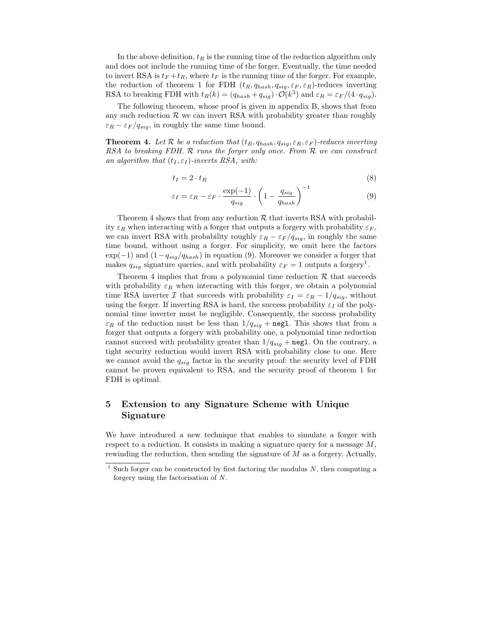In the above definition,  $t_R$  is the running time of the reduction algorithm only and does not include the running time of the forger. Eventually, the time needed to invert RSA is  $t_F + t_R$ , where  $t_F$  is the running time of the forger. For example, the reduction of theorem 1 for FDH  $(t_R, q_{hash}, q_{sig}, \varepsilon_F, \varepsilon_R)$ -reduces inverting RSA to breaking FDH with  $t_R(k) = (q_{hash} + q_{sig}) \cdot \mathcal{O}(k^3)$  and  $\varepsilon_R = \varepsilon_F/(4 \cdot q_{sig})$ .

The following theorem, whose proof is given in appendix B, shows that from any such reduction  $R$  we can invert RSA with probability greater than roughly  $\varepsilon_R - \varepsilon_F / q_{sig}$ , in roughly the same time bound.

**Theorem 4.** Let R be a reduction that  $(t_R, q_{hash}, q_{sig}, \varepsilon_R, \varepsilon_F)$ -reduces inverting RSA to breaking FDH. R runs the forger only once. From R we can construct an algorithm that  $(t_I, \varepsilon_I)$ -inverts RSA, with:

$$
t_I = 2 \cdot t_R \tag{8}
$$

$$
\varepsilon_I = \varepsilon_R - \varepsilon_F \cdot \frac{\exp(-1)}{q_{sig}} \cdot \left(1 - \frac{q_{sig}}{q_{hash}}\right)^{-1} \tag{9}
$$

Theorem 4 shows that from any reduction  $R$  that inverts RSA with probability  $\varepsilon_R$  when interacting with a forger that outputs a forgery with probability  $\varepsilon_F$ , we can invert RSA with probability roughly  $\varepsilon_R - \varepsilon_F / q_{sig}$ , in roughly the same time bound, without using a forger. For simplicity, we omit here the factors  $\exp(-1)$  and  $(1-q_{sig}/q_{hash})$  in equation (9). Moreover we consider a forger that makes  $q_{sig}$  signature queries, and with probability  $\varepsilon_F = 1$  outputs a forgery<sup>1</sup>.

Theorem 4 implies that from a polynomial time reduction  $R$  that succeeds with probability  $\varepsilon_R$  when interacting with this forger, we obtain a polynomial time RSA inverter I that succeeds with probability  $\varepsilon_I = \varepsilon_R - 1/q_{sig}$ , without using the forger. If inverting RSA is hard, the success probability  $\varepsilon_I$  of the polynomial time inverter must be negligible. Consequently, the success probability  $\varepsilon_R$  of the reduction must be less than  $1/q_{sig}$  + negl. This shows that from a forger that outputs a forgery with probability one, a polynomial time reduction cannot succeed with probability greater than  $1/q_{sig}$  + negl. On the contrary, a tight security reduction would invert RSA with probability close to one. Here we cannot avoid the  $q_{sig}$  factor in the security proof: the security level of FDH cannot be proven equivalent to RSA, and the security proof of theorem 1 for FDH is optimal.

# 5 Extension to any Signature Scheme with Unique Signature

We have introduced a new technique that enables to simulate a forger with respect to a reduction. It consists in making a signature query for a message  $M$ , rewinding the reduction, then sending the signature of  $M$  as a forgery. Actually,

 $1$  Such forger can be constructed by first factoring the modulus  $N$ , then computing a forgery using the factorisation of N.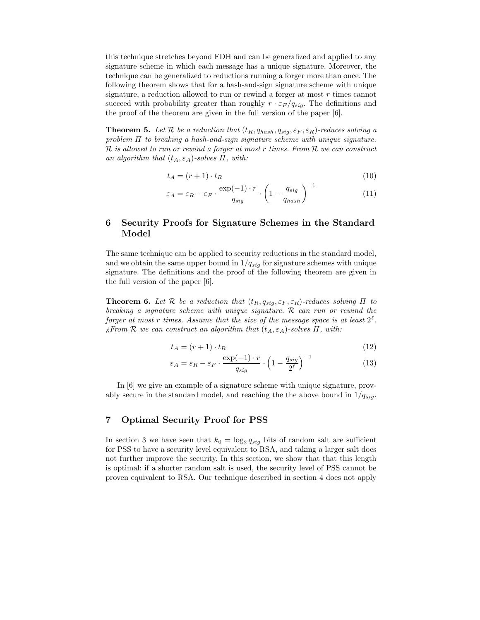this technique stretches beyond FDH and can be generalized and applied to any signature scheme in which each message has a unique signature. Moreover, the technique can be generalized to reductions running a forger more than once. The following theorem shows that for a hash-and-sign signature scheme with unique signature, a reduction allowed to run or rewind a forger at most  $r$  times cannot succeed with probability greater than roughly  $r \cdot \varepsilon_F / q_{sig}$ . The definitions and the proof of the theorem are given in the full version of the paper [6].

**Theorem 5.** Let R be a reduction that  $(t_R, q_{hash}, q_{sig}, \varepsilon_F, \varepsilon_R)$ -reduces solving a problem  $\Pi$  to breaking a hash-and-sign signature scheme with unique signature.  $\mathcal R$  is allowed to run or rewind a forger at most r times. From  $\mathcal R$  we can construct an algorithm that  $(t_A, \varepsilon_A)$ -solves  $\Pi$ , with:

$$
t_A = (r+1) \cdot t_R \tag{10}
$$

$$
\varepsilon_A = \varepsilon_R - \varepsilon_F \cdot \frac{\exp(-1) \cdot r}{q_{sig}} \cdot \left(1 - \frac{q_{sig}}{q_{hash}}\right)^{-1} \tag{11}
$$

# 6 Security Proofs for Signature Schemes in the Standard Model

The same technique can be applied to security reductions in the standard model, and we obtain the same upper bound in  $1/q_{sig}$  for signature schemes with unique signature. The definitions and the proof of the following theorem are given in the full version of the paper [6].

**Theorem 6.** Let R be a reduction that  $(t_R, q_{siq}, \varepsilon_F, \varepsilon_R)$ -reduces solving  $\Pi$  to breaking a signature scheme with unique signature.  $\mathcal R$  can run or rewind the forger at most r times. Assume that the size of the message space is at least  $2^{\ell}$ .  $\mathcal{E}$  From R we can construct an algorithm that  $(t_A, \varepsilon_A)$ -solves  $\Pi$ , with:

$$
t_A = (r+1) \cdot t_R \tag{12}
$$

$$
\varepsilon_A = \varepsilon_R - \varepsilon_F \cdot \frac{\exp(-1) \cdot r}{q_{sig}} \cdot \left(1 - \frac{q_{sig}}{2^{\ell}}\right)^{-1} \tag{13}
$$

In [6] we give an example of a signature scheme with unique signature, provably secure in the standard model, and reaching the the above bound in  $1/q_{sig}$ .

### 7 Optimal Security Proof for PSS

In section 3 we have seen that  $k_0 = \log_2 q_{sig}$  bits of random salt are sufficient for PSS to have a security level equivalent to RSA, and taking a larger salt does not further improve the security. In this section, we show that that this length is optimal: if a shorter random salt is used, the security level of PSS cannot be proven equivalent to RSA. Our technique described in section 4 does not apply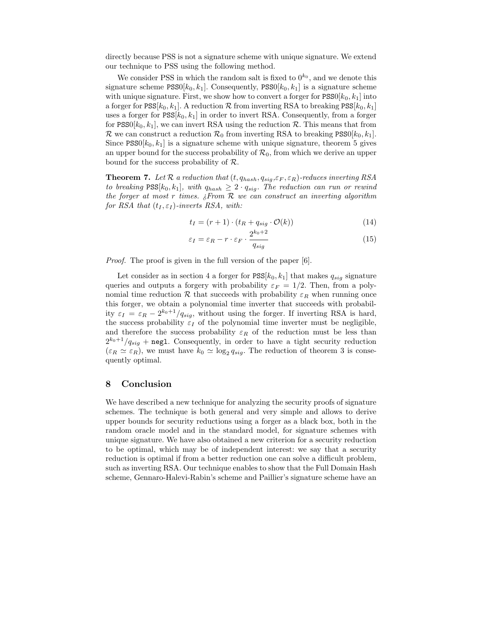directly because PSS is not a signature scheme with unique signature. We extend our technique to PSS using the following method.

We consider PSS in which the random salt is fixed to  $0^{k_0}$ , and we denote this signature scheme  $\text{PSS0}[k_0, k_1]$ . Consequently,  $\text{PSS0}[k_0, k_1]$  is a signature scheme with unique signature. First, we show how to convert a forger for  $\text{PSS0}[k_0, k_1]$  into a forger for  $\text{PSS}[k_0, k_1]$ . A reduction  $\mathcal R$  from inverting RSA to breaking  $\text{PSS}[k_0, k_1]$ uses a forger for  $PSS[k_0, k_1]$  in order to invert RSA. Consequently, from a forger for PSS0[ $k_0, k_1$ ], we can invert RSA using the reduction  $\mathcal{R}$ . This means that from R we can construct a reduction  $\mathcal{R}_0$  from inverting RSA to breaking PSS0[ $k_0, k_1$ ]. Since  $\text{PSS0}[k_0, k_1]$  is a signature scheme with unique signature, theorem 5 gives an upper bound for the success probability of  $\mathcal{R}_0$ , from which we derive an upper bound for the success probability of R.

**Theorem 7.** Let R a reduction that  $(t, q_{hash}, q_{sig}, \varepsilon_F, \varepsilon_R)$ -reduces inverting RSA to breaking  $\text{PSS}[k_0, k_1]$ , with  $q_{hash} \geq 2 \cdot q_{sig}$ . The reduction can run or rewind the forger at most r times.  $\lambda$  From R we can construct an inverting algorithm for RSA that  $(t_I, \varepsilon_I)$ -inverts RSA, with:

$$
t_I = (r+1) \cdot (t_R + q_{sig} \cdot \mathcal{O}(k)) \tag{14}
$$

$$
\varepsilon_I = \varepsilon_R - r \cdot \varepsilon_F \cdot \frac{2^{k_0 + 2}}{q_{sig}} \tag{15}
$$

*Proof.* The proof is given in the full version of the paper [6].

Let consider as in section 4 a forger for  $\text{PSS}[k_0, k_1]$  that makes  $q_{sia}$  signature queries and outputs a forgery with probability  $\varepsilon_F = 1/2$ . Then, from a polynomial time reduction R that succeeds with probability  $\varepsilon_R$  when running once this forger, we obtain a polynomial time inverter that succeeds with probability  $\varepsilon_I = \varepsilon_R - 2^{k_0+1}/q_{sig}$ , without using the forger. If inverting RSA is hard, the success probability  $\varepsilon_I$  of the polynomial time inverter must be negligible, and therefore the success probability  $\varepsilon_R$  of the reduction must be less than  $2^{k_0+1}/q_{sig}$  + negl. Consequently, in order to have a tight security reduction  $(\varepsilon_R \simeq \varepsilon_R)$ , we must have  $k_0 \simeq \log_2 q_{sig}$ . The reduction of theorem 3 is consequently optimal.

#### 8 Conclusion

We have described a new technique for analyzing the security proofs of signature schemes. The technique is both general and very simple and allows to derive upper bounds for security reductions using a forger as a black box, both in the random oracle model and in the standard model, for signature schemes with unique signature. We have also obtained a new criterion for a security reduction to be optimal, which may be of independent interest: we say that a security reduction is optimal if from a better reduction one can solve a difficult problem, such as inverting RSA. Our technique enables to show that the Full Domain Hash scheme, Gennaro-Halevi-Rabin's scheme and Paillier's signature scheme have an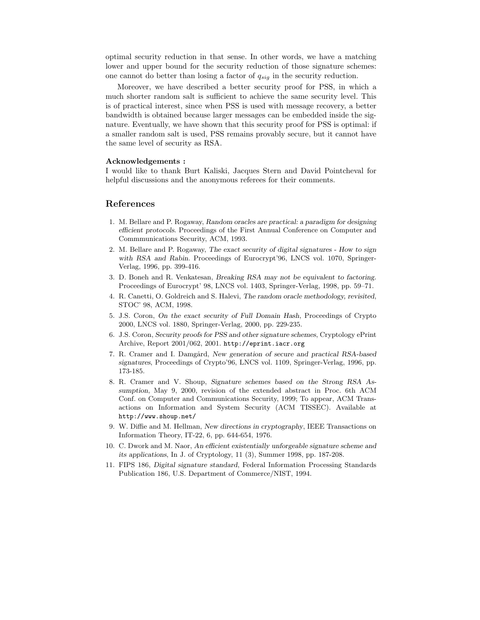optimal security reduction in that sense. In other words, we have a matching lower and upper bound for the security reduction of those signature schemes: one cannot do better than losing a factor of  $q_{sig}$  in the security reduction.

Moreover, we have described a better security proof for PSS, in which a much shorter random salt is sufficient to achieve the same security level. This is of practical interest, since when PSS is used with message recovery, a better bandwidth is obtained because larger messages can be embedded inside the signature. Eventually, we have shown that this security proof for PSS is optimal: if a smaller random salt is used, PSS remains provably secure, but it cannot have the same level of security as RSA.

#### Acknowledgements :

I would like to thank Burt Kaliski, Jacques Stern and David Pointcheval for helpful discussions and the anonymous referees for their comments.

#### References

- 1. M. Bellare and P. Rogaway, Random oracles are practical: a paradigm for designing efficient protocols. Proceedings of the First Annual Conference on Computer and Commmunications Security, ACM, 1993.
- 2. M. Bellare and P. Rogaway, The exact security of digital signatures How to sign with RSA and Rabin. Proceedings of Eurocrypt'96, LNCS vol. 1070, Springer-Verlag, 1996, pp. 399-416.
- 3. D. Boneh and R. Venkatesan, Breaking RSA may not be equivalent to factoring. Proceedings of Eurocrypt' 98, LNCS vol. 1403, Springer-Verlag, 1998, pp. 59–71.
- 4. R. Canetti, O. Goldreich and S. Halevi, The random oracle methodology, revisited, STOC' 98, ACM, 1998.
- 5. J.S. Coron, On the exact security of Full Domain Hash, Proceedings of Crypto 2000, LNCS vol. 1880, Springer-Verlag, 2000, pp. 229-235.
- 6. J.S. Coron, Security proofs for PSS and other signature schemes, Cryptology ePrint Archive, Report 2001/062, 2001. http://eprint.iacr.org
- 7. R. Cramer and I. Damgård, New generation of secure and practical RSA-based signatures, Proceedings of Crypto'96, LNCS vol. 1109, Springer-Verlag, 1996, pp. 173-185.
- 8. R. Cramer and V. Shoup, Signature schemes based on the Strong RSA Assumption, May 9, 2000, revision of the extended abstract in Proc. 6th ACM Conf. on Computer and Communications Security, 1999; To appear, ACM Transactions on Information and System Security (ACM TISSEC). Available at http://www.shoup.net/
- 9. W. Diffie and M. Hellman, New directions in cryptography, IEEE Transactions on Information Theory, IT-22, 6, pp. 644-654, 1976.
- 10. C. Dwork and M. Naor, An efficient existentially unforgeable signature scheme and its applications, In J. of Cryptology, 11 (3), Summer 1998, pp. 187-208.
- 11. FIPS 186, Digital signature standard, Federal Information Processing Standards Publication 186, U.S. Department of Commerce/NIST, 1994.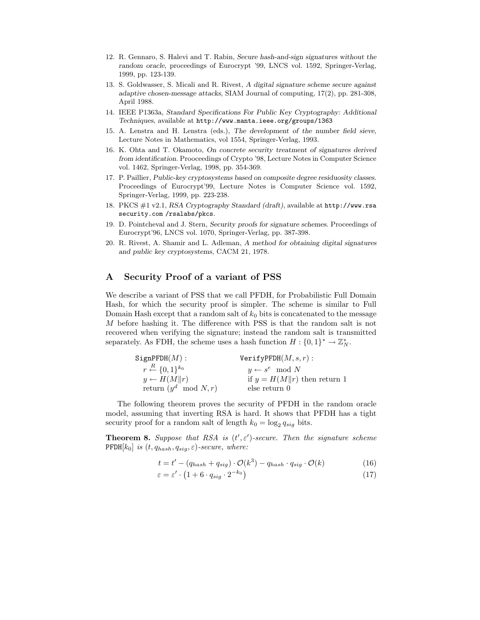- 12. R. Gennaro, S. Halevi and T. Rabin, Secure hash-and-sign signatures without the random oracle, proceedings of Eurocrypt '99, LNCS vol. 1592, Springer-Verlag, 1999, pp. 123-139.
- 13. S. Goldwasser, S. Micali and R. Rivest, A digital signature scheme secure against adaptive chosen-message attacks, SIAM Journal of computing, 17(2), pp. 281-308, April 1988.
- 14. IEEE P1363a, Standard Specifications For Public Key Cryptography: Additional Techniques, available at http://www.manta.ieee.org/groups/1363
- 15. A. Lenstra and H. Lenstra (eds.), The development of the number field sieve, Lecture Notes in Mathematics, vol 1554, Springer-Verlag, 1993.
- 16. K. Ohta and T. Okamoto, On concrete security treatment of signatures derived from identification. Prooceedings of Crypto '98, Lecture Notes in Computer Science vol. 1462, Springer-Verlag, 1998, pp. 354-369.
- 17. P. Paillier, Public-key cryptosystems based on composite degree residuosity classes. Proceedings of Eurocrypt'99, Lecture Notes is Computer Science vol. 1592, Springer-Verlag, 1999, pp. 223-238.
- 18. PKCS #1 v2.1, RSA Cryptography Standard (draft), available at http://www.rsa security.com /rsalabs/pkcs.
- 19. D. Pointcheval and J. Stern, Security proofs for signature schemes. Proceedings of Eurocrypt'96, LNCS vol. 1070, Springer-Verlag, pp. 387-398.
- 20. R. Rivest, A. Shamir and L. Adleman, A method for obtaining digital signatures and public key cryptosystems, CACM 21, 1978.

## A Security Proof of a variant of PSS

We describe a variant of PSS that we call PFDH, for Probabilistic Full Domain Hash, for which the security proof is simpler. The scheme is similar to Full Domain Hash except that a random salt of  $k_0$  bits is concatenated to the message M before hashing it. The difference with PSS is that the random salt is not recovered when verifying the signature; instead the random salt is transmitted separately. As FDH, the scheme uses a hash function  $H: \{0,1\}^* \to \mathbb{Z}_N^*$ .

| SignPFDH(M):                               | $VerifyPPDH(M, s, r)$ :        |
|--------------------------------------------|--------------------------------|
| $r \stackrel{R}{\leftarrow} \{0,1\}^{k_0}$ | $y \leftarrow s^e \mod N$      |
| $y \leftarrow H(M  r)$                     | if $y = H(M  r)$ then return 1 |
| return $(y^d \mod N, r)$                   | else return 0                  |

The following theorem proves the security of PFDH in the random oracle model, assuming that inverting RSA is hard. It shows that PFDH has a tight security proof for a random salt of length  $k_0 = \log_2 q_{sig}$  bits.

**Theorem 8.** Suppose that RSA is  $(t', \varepsilon')$ -secure. Then the signature scheme  $\mathrm{PFDH}[k_0]$  is  $(t, q_{hash}, q_{sig}, \varepsilon)$ -secure, where:

$$
t = t' - (q_{hash} + q_{sig}) \cdot \mathcal{O}(k^3) - q_{hash} \cdot q_{sig} \cdot \mathcal{O}(k)
$$
 (16)

$$
\varepsilon = \varepsilon' \cdot \left( 1 + 6 \cdot q_{sig} \cdot 2^{-k_0} \right) \tag{17}
$$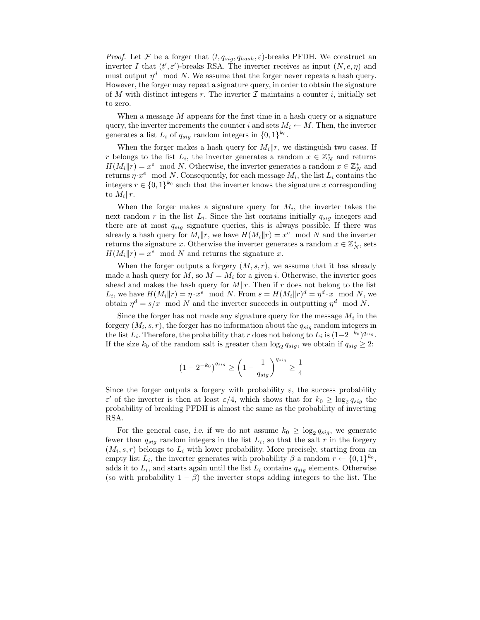*Proof.* Let  $\mathcal F$  be a forger that  $(t, q_{sig}, q_{hash}, \varepsilon)$ -breaks PFDH. We construct an inverter I that  $(t', \varepsilon')$ -breaks RSA. The inverter receives as input  $(N, e, \eta)$  and must output  $\eta^d \mod N$ . We assume that the forger never repeats a hash query. However, the forger may repeat a signature query, in order to obtain the signature of M with distinct integers r. The inverter  $\mathcal I$  maintains a counter i, initially set to zero.

When a message  $M$  appears for the first time in a hash query or a signature query, the inverter increments the counter i and sets  $M_i \leftarrow M$ . Then, the inverter generates a list  $L_i$  of  $q_{sig}$  random integers in  $\{0,1\}^{k_0}$ .

When the forger makes a hash query for  $M_i||r$ , we distinguish two cases. If r belongs to the list  $L_i$ , the inverter generates a random  $x \in \mathbb{Z}_N^*$  and returns  $H(M_i||r) = x^e \mod N$ . Otherwise, the inverter generates a random  $x \in \mathbb{Z}_N^*$  and returns  $\eta \cdot x^e \mod N$ . Consequently, for each message  $M_i$ , the list  $L_i$  contains the integers  $r \in \{0,1\}^{k_0}$  such that the inverter knows the signature x corresponding to  $M_i||r$ .

When the forger makes a signature query for  $M_i$ , the inverter takes the next random r in the list  $L_i$ . Since the list contains initially  $q_{sig}$  integers and there are at most  $q_{siq}$  signature queries, this is always possible. If there was already a hash query for  $M_i||r$ , we have  $H(M_i||r) = x^e \mod N$  and the inverter returns the signature x. Otherwise the inverter generates a random  $x \in \mathbb{Z}_N^*$ , sets  $H(M_i||r) = x^e \mod N$  and returns the signature x.

When the forger outputs a forgery  $(M, s, r)$ , we assume that it has already made a hash query for  $M$ , so  $M = M_i$  for a given i. Otherwise, the inverter goes ahead and makes the hash query for  $M||r$ . Then if r does not belong to the list  $L_i$ , we have  $H(M_i||r) = \eta \cdot x^e \mod N$ . From  $s = H(M_i||r)^d = \eta^d \cdot x \mod N$ , we obtain  $\eta^d = s/x \mod N$  and the inverter succeeds in outputting  $\eta^d \mod N$ .

Since the forger has not made any signature query for the message  $M_i$  in the forgery  $(M_i, s, r)$ , the forger has no information about the  $q_{sig}$  random integers in the list  $L_i$ . Therefore, the probability that r does not belong to  $L_i$  is  $(1-2^{-k_0})^{q_{sig}}$ . If the size  $k_0$  of the random salt is greater than  $\log_2 q_{sig}$ , we obtain if  $q_{sig} \geq 2$ :

$$
\left(1-2^{-k_0}\right)^{q_{sig}} \geq \left(1-\frac{1}{q_{sig}}\right)^{q_{sig}} \geq \frac{1}{4}
$$

Since the forger outputs a forgery with probability  $\varepsilon$ , the success probability ε' of the inverter is then at least  $\varepsilon/4$ , which shows that for  $k_0 \ge \log_2 q_{sig}$  the probability of breaking PFDH is almost the same as the probability of inverting RSA.

For the general case, *i.e.* if we do not assume  $k_0 \ge \log_2 q_{sig}$ , we generate fewer than  $q_{sig}$  random integers in the list  $L_i$ , so that the salt r in the forgery  $(M_i, s, r)$  belongs to  $L_i$  with lower probability. More precisely, starting from an empty list  $L_i$ , the inverter generates with probability  $\beta$  a random  $r \leftarrow \{0,1\}^{k_0}$ , adds it to  $L_i$ , and starts again until the list  $L_i$  contains  $q_{sig}$  elements. Otherwise (so with probability  $1 - \beta$ ) the inverter stops adding integers to the list. The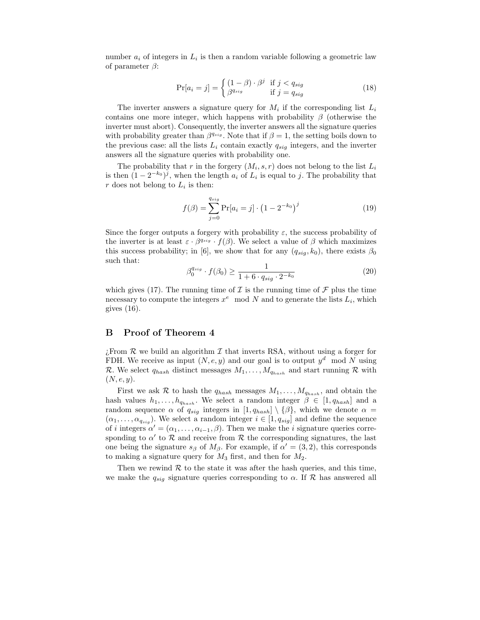number  $a_i$  of integers in  $L_i$  is then a random variable following a geometric law of parameter  $\beta$ :

$$
\Pr[a_i = j] = \begin{cases} (1 - \beta) \cdot \beta^j & \text{if } j < q_{sig} \\ \beta^{q_{sig}} & \text{if } j = q_{sig} \end{cases}
$$
 (18)

The inverter answers a signature query for  $M_i$  if the corresponding list  $L_i$ contains one more integer, which happens with probability  $\beta$  (otherwise the inverter must abort). Consequently, the inverter answers all the signature queries with probability greater than  $\beta^{q_{sig}}$ . Note that if  $\beta = 1$ , the setting boils down to the previous case: all the lists  $L_i$  contain exactly  $q_{sig}$  integers, and the inverter answers all the signature queries with probability one.

The probability that r in the forgery  $(M_i, s, r)$  does not belong to the list  $L_i$ is then  $(1 - 2^{-k_0})^j$ , when the length  $a_i$  of  $L_i$  is equal to j. The probability that r does not belong to  $L_i$  is then:

$$
f(\beta) = \sum_{j=0}^{q_{sig}} \Pr[a_i = j] \cdot (1 - 2^{-k_0})^j
$$
 (19)

Since the forger outputs a forgery with probability  $\varepsilon$ , the success probability of the inverter is at least  $\varepsilon \cdot \beta^{q_{sig}} \cdot f(\beta)$ . We select a value of  $\beta$  which maximizes this success probability; in [6], we show that for any  $(q_{sia}, k_0)$ , there exists  $\beta_0$ such that:

$$
\beta_0^{q_{sig}} \cdot f(\beta_0) \ge \frac{1}{1 + 6 \cdot q_{sig} \cdot 2^{-k_0}} \tag{20}
$$

which gives (17). The running time of  $\mathcal I$  is the running time of  $\mathcal F$  plus the time necessary to compute the integers  $x^e \mod N$  and to generate the lists  $L_i$ , which gives (16).

#### B Proof of Theorem 4

 $\chi$ From R we build an algorithm I that inverts RSA, without using a forger for FDH. We receive as input  $(N, e, y)$  and our goal is to output  $y<sup>d</sup>$  mod N using R. We select  $q_{hash}$  distinct messages  $M_1, \ldots, M_{q_{hash}}$  and start running R with  $(N, e, y)$ .

First we ask R to hash the  $q_{hash}$  messages  $M_1, \ldots, M_{q_{hash}}$ , and obtain the hash values  $h_1, \ldots, h_{q_{hash}}$ . We select a random integer  $\beta \in [1, q_{hash}]$  and a random sequence  $\alpha$  of  $q_{sig}$  integers in  $[1, q_{hash}] \setminus {\beta}$ , which we denote  $\alpha =$  $(\alpha_1, \ldots, \alpha_{q_{sig}})$ . We select a random integer  $i \in [1, q_{sig}]$  and define the sequence of i integers  $\alpha' = (\alpha_1, \ldots, \alpha_{i-1}, \beta)$ . Then we make the i signature queries corresponding to  $\alpha'$  to  $\mathcal R$  and receive from  $\mathcal R$  the corresponding signatures, the last one being the signature  $s_{\beta}$  of  $M_{\beta}$ . For example, if  $\alpha' = (3, 2)$ , this corresponds to making a signature query for  $M_3$  first, and then for  $M_2$ .

Then we rewind  $R$  to the state it was after the hash queries, and this time, we make the  $q_{sig}$  signature queries corresponding to  $\alpha$ . If  $\mathcal{R}$  has answered all